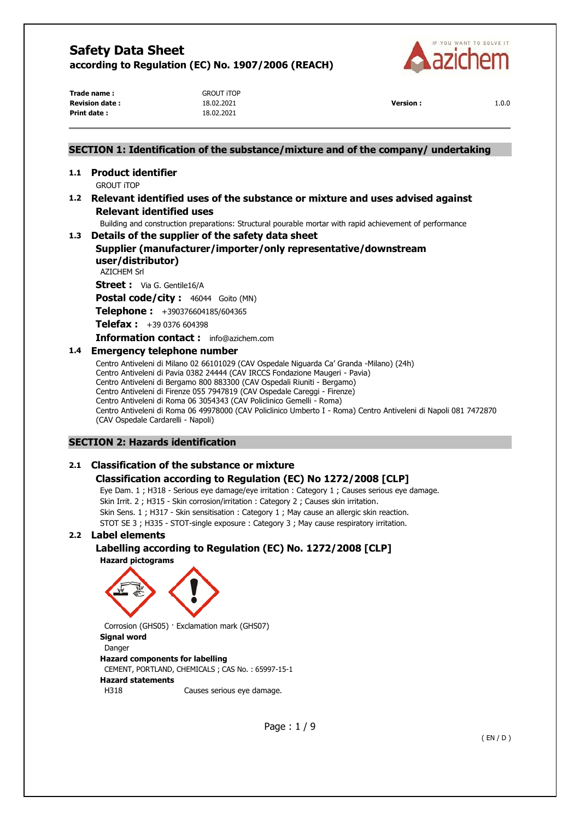

**Trade name :** GROUT iTOP **Revision date :** 18.02.2021 **Version :** 1.0.0 **Print date :** 18.02.2021

## **SECTION 1: Identification of the substance/mixture and of the company/ undertaking 1.1 Product identifier**  GROUT iTOP **1.2 Relevant identified uses of the substance or mixture and uses advised against Relevant identified uses** Building and construction preparations: Structural pourable mortar with rapid achievement of performance **1.3 Details of the supplier of the safety data sheet Supplier (manufacturer/importer/only representative/downstream user/distributor)**  AZICHEM Srl **Street :** Via G. Gentile16/A **Postal code/city :** 46044 Goito (MN) **Telephone :** +390376604185/604365 **Telefax :** +39 0376 604398 **Information contact :** info@azichem.com **1.4 Emergency telephone number**  Centro Antiveleni di Milano 02 66101029 (CAV Ospedale Niguarda Ca' Granda -Milano) (24h) Centro Antiveleni di Pavia 0382 24444 (CAV IRCCS Fondazione Maugeri - Pavia) Centro Antiveleni di Bergamo 800 883300 (CAV Ospedali Riuniti - Bergamo) Centro Antiveleni di Firenze 055 7947819 (CAV Ospedale Careggi - Firenze) Centro Antiveleni di Roma 06 3054343 (CAV Policlinico Gemelli - Roma)

Centro Antiveleni di Roma 06 49978000 (CAV Policlinico Umberto I - Roma) Centro Antiveleni di Napoli 081 7472870

**SECTION 2: Hazards identification** 

(CAV Ospedale Cardarelli - Napoli)

## **2.1 Classification of the substance or mixture**

## **Classification according to Regulation (EC) No 1272/2008 [CLP]**

Eye Dam. 1 ; H318 - Serious eye damage/eye irritation : Category 1 ; Causes serious eye damage. Skin Irrit. 2 ; H315 - Skin corrosion/irritation : Category 2 ; Causes skin irritation. Skin Sens. 1 ; H317 - Skin sensitisation : Category 1 ; May cause an allergic skin reaction. STOT SE 3 ; H335 - STOT-single exposure : Category 3 ; May cause respiratory irritation.

## **2.2 Label elements**

**Labelling according to Regulation (EC) No. 1272/2008 [CLP] Hazard pictograms** 





Corrosion (GHS05) · Exclamation mark (GHS07) **Signal word**  Danger **Hazard components for labelling**  CEMENT, PORTLAND, CHEMICALS ; CAS No. : 65997-15-1 **Hazard statements**  H318 Causes serious eye damage.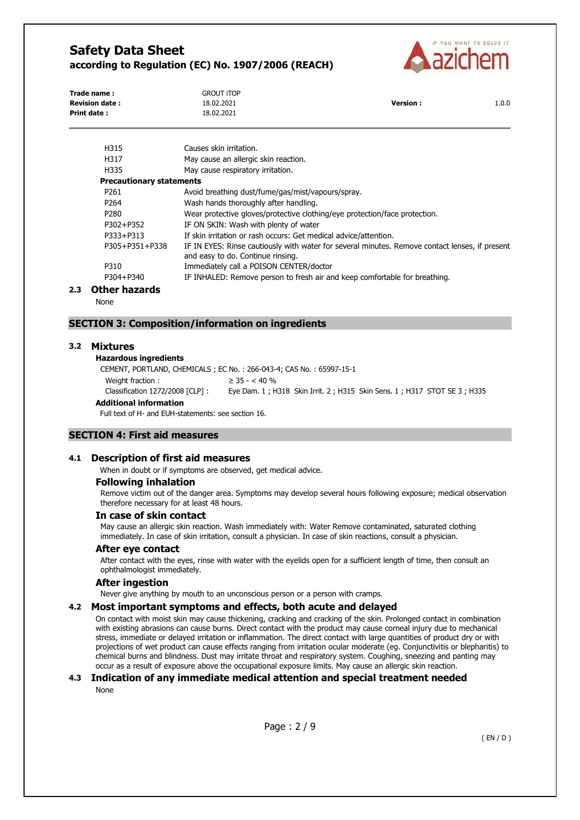

| Trade name:           | <b>GROUT ITOP</b> |                 |       |
|-----------------------|-------------------|-----------------|-------|
| <b>Revision date:</b> | 18.02.2021        | <b>Version:</b> | 1.0.0 |
| Print date:           | 18.02.2021        |                 |       |
|                       |                   |                 |       |

| H315                            | Causes skin irritation.                                                                                                             |
|---------------------------------|-------------------------------------------------------------------------------------------------------------------------------------|
| H317                            | May cause an allergic skin reaction.                                                                                                |
| H335                            | May cause respiratory irritation.                                                                                                   |
| <b>Precautionary statements</b> |                                                                                                                                     |
| P <sub>261</sub>                | Avoid breathing dust/fume/gas/mist/vapours/spray.                                                                                   |
| P264                            | Wash hands thoroughly after handling.                                                                                               |
| P <sub>280</sub>                | Wear protective gloves/protective clothing/eye protection/face protection.                                                          |
| P302+P352                       | IF ON SKIN: Wash with plenty of water                                                                                               |
| P333+P313                       | If skin irritation or rash occurs: Get medical advice/attention.                                                                    |
| P305+P351+P338                  | IF IN EYES: Rinse cautiously with water for several minutes. Remove contact lenses, if present<br>and easy to do. Continue rinsing. |
| P310                            | Immediately call a POISON CENTER/doctor                                                                                             |
| P304+P340                       | IF INHALED: Remove person to fresh air and keep comfortable for breathing.                                                          |
| .                               |                                                                                                                                     |

#### **2.3 Other hazards**

None

#### **SECTION 3: Composition/information on ingredients**

#### **3.2 Mixtures**

#### **Hazardous ingredients**

CEMENT, PORTLAND, CHEMICALS ; EC No. : 266-043-4; CAS No. : 65997-15-1 Weight fraction :  $\geq 35 - < 40\%$ Classification 1272/2008 [CLP] : Eye Dam. 1 ; H318 Skin Irrit. 2 ; H315 Skin Sens. 1 ; H317 STOT SE 3 ; H335

#### **Additional information**

Full text of H- and EUH-statements: see section 16.

#### **SECTION 4: First aid measures**

#### **4.1 Description of first aid measures**

When in doubt or if symptoms are observed, get medical advice.

## **Following inhalation**

Remove victim out of the danger area. Symptoms may develop several hours following exposure; medical observation therefore necessary for at least 48 hours.

#### **In case of skin contact**

May cause an allergic skin reaction. Wash immediately with: Water Remove contaminated, saturated clothing immediately. In case of skin irritation, consult a physician. In case of skin reactions, consult a physician.

#### **After eye contact**

After contact with the eyes, rinse with water with the eyelids open for a sufficient length of time, then consult an ophthalmologist immediately.

#### **After ingestion**

Never give anything by mouth to an unconscious person or a person with cramps.

#### **4.2 Most important symptoms and effects, both acute and delayed**

On contact with moist skin may cause thickening, cracking and cracking of the skin. Prolonged contact in combination with existing abrasions can cause burns. Direct contact with the product may cause corneal injury due to mechanical stress, immediate or delayed irritation or inflammation. The direct contact with large quantities of product dry or with projections of wet product can cause effects ranging from irritation ocular moderate (eg. Conjunctivitis or blepharitis) to chemical burns and blindness. Dust may irritate throat and respiratory system. Coughing, sneezing and panting may occur as a result of exposure above the occupational exposure limits. May cause an allergic skin reaction.

## **4.3 Indication of any immediate medical attention and special treatment needed**

None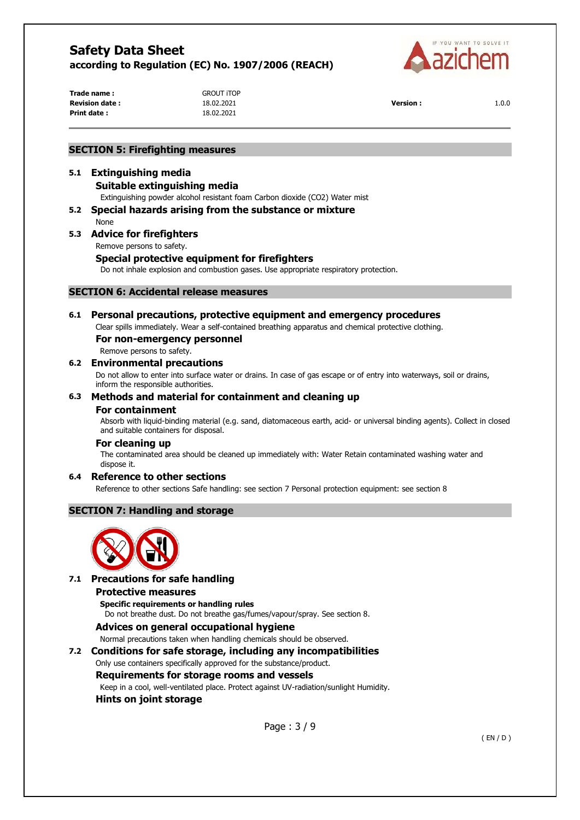

**Trade name :** GROUT iTOP **Revision date :** 18.02.2021 **Version :** 1.0.0 **Print date :** 18.02.2021

### **SECTION 5: Firefighting measures**

## **5.1 Extinguishing media**

#### **Suitable extinguishing media**

Extinguishing powder alcohol resistant foam Carbon dioxide (CO2) Water mist

**5.2 Special hazards arising from the substance or mixture**  None

# **5.3 Advice for firefighters**

Remove persons to safety.

## **Special protective equipment for firefighters**

Do not inhale explosion and combustion gases. Use appropriate respiratory protection.

## **SECTION 6: Accidental release measures**

## **6.1 Personal precautions, protective equipment and emergency procedures**

Clear spills immediately. Wear a self-contained breathing apparatus and chemical protective clothing.

#### **For non-emergency personnel**

Remove persons to safety.

#### **6.2 Environmental precautions**

Do not allow to enter into surface water or drains. In case of gas escape or of entry into waterways, soil or drains, inform the responsible authorities.

## **6.3 Methods and material for containment and cleaning up**

#### **For containment**

Absorb with liquid-binding material (e.g. sand, diatomaceous earth, acid- or universal binding agents). Collect in closed and suitable containers for disposal.

## **For cleaning up**

The contaminated area should be cleaned up immediately with: Water Retain contaminated washing water and dispose it.

## **6.4 Reference to other sections**

Reference to other sections Safe handling: see section 7 Personal protection equipment: see section 8

## **SECTION 7: Handling and storage**



## **7.1 Precautions for safe handling**

#### **Protective measures**

**Specific requirements or handling rules**  Do not breathe dust. Do not breathe gas/fumes/vapour/spray. See section 8.

## **Advices on general occupational hygiene**

Normal precautions taken when handling chemicals should be observed.

## **7.2 Conditions for safe storage, including any incompatibilities**

## Only use containers specifically approved for the substance/product.

## **Requirements for storage rooms and vessels**

Keep in a cool, well-ventilated place. Protect against UV-radiation/sunlight Humidity.

## **Hints on joint storage**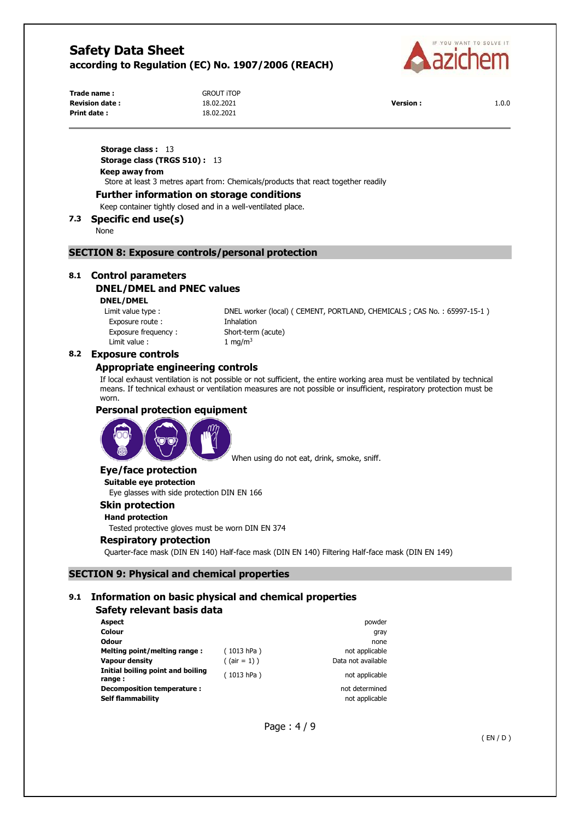

| Trade name:           | <b>GROUT ITOP</b> |                 |       |
|-----------------------|-------------------|-----------------|-------|
| <b>Revision date:</b> | 18.02.2021        | <b>Version:</b> | 1.0.0 |
| Print date:           | 18.02.2021        |                 |       |

**GROUT ITOP Print date :** 18.02.2021

**Storage class : 13 Storage class (TRGS 510) :** 13 **Keep away from**  Store at least 3 metres apart from: Chemicals/products that react together readily

## **Further information on storage conditions**

Keep container tightly closed and in a well-ventilated place.

## **7.3 Specific end use(s)**

None

## **SECTION 8: Exposure controls/personal protection**

## **8.1 Control parameters**

## **DNEL/DMEL and PNEC values**

**DNEL/DMEL** 

Exposure route : Thhalation Exposure frequency : Short-term (acute) Limit value :  $1 \text{ mg/m}^3$ 

Limit value type : DNEL worker (local) ( CEMENT, PORTLAND, CHEMICALS ; CAS No. : 65997-15-1 )

#### **8.2 Exposure controls**

#### **Appropriate engineering controls**

If local exhaust ventilation is not possible or not sufficient, the entire working area must be ventilated by technical means. If technical exhaust or ventilation measures are not possible or insufficient, respiratory protection must be worn.

#### **Personal protection equipment**



When using do not eat, drink, smoke, sniff.

#### **Eye/face protection**

**Suitable eye protection**  Eye glasses with side protection DIN EN 166

# **Skin protection**

**Hand protection** 

Tested protective gloves must be worn DIN EN 374

#### **Respiratory protection**

Quarter-face mask (DIN EN 140) Half-face mask (DIN EN 140) Filtering Half-face mask (DIN EN 149)

#### **SECTION 9: Physical and chemical properties**

## **9.1 Information on basic physical and chemical properties**

#### **Safety relevant basis data**

| <b>Aspect</b>                               |                 | powder             |
|---------------------------------------------|-----------------|--------------------|
| Colour                                      |                 | gray               |
| <b>Odour</b>                                |                 | none               |
| Melting point/melting range:                | (1013 hPa)      | not applicable     |
| Vapour density                              | $($ (air = 1) ) | Data not available |
| Initial boiling point and boiling<br>range: | (1013 hPa)      | not applicable     |
| Decomposition temperature :                 |                 | not determined     |
| <b>Self flammability</b>                    |                 | not applicable     |

Page : 4 / 9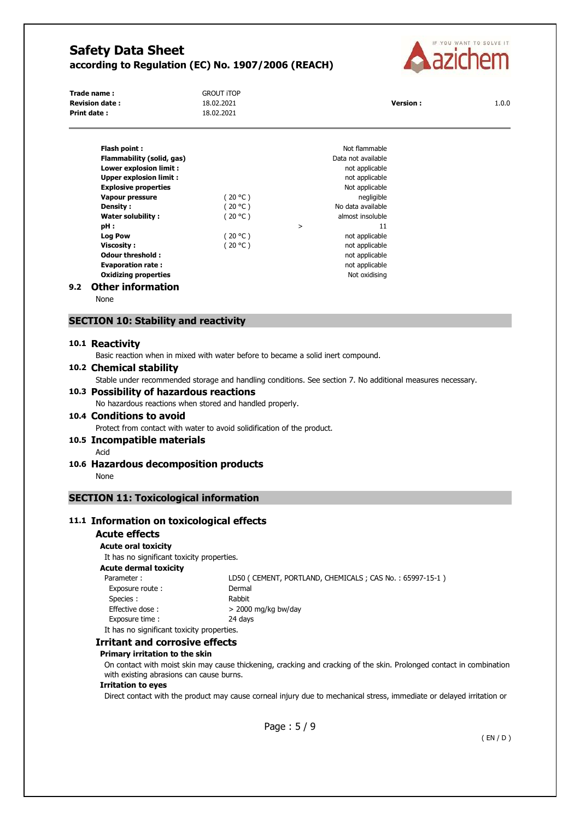

| Trade name:           | <b>GROUT ITOP</b> |                 |       |
|-----------------------|-------------------|-----------------|-------|
| <b>Revision date:</b> | 18.02.2021        | <b>Version:</b> | 1.0.0 |
| Print date:           | 18.02.2021        |                 |       |

|     | Flash point:                  |         |        | Not flammable      |
|-----|-------------------------------|---------|--------|--------------------|
|     | Flammability (solid, gas)     |         |        | Data not available |
|     | <b>Lower explosion limit:</b> |         |        | not applicable     |
|     | <b>Upper explosion limit:</b> |         |        | not applicable     |
|     | <b>Explosive properties</b>   |         |        | Not applicable     |
|     | <b>Vapour pressure</b>        | (20 °C) |        | negligible         |
|     | Density:                      | (20 °C) |        | No data available  |
|     | Water solubility:             | (20 °C) |        | almost insoluble   |
|     | pH :                          |         | $\geq$ | 11                 |
|     | <b>Log Pow</b>                | (20 °C) |        | not applicable     |
|     | <b>Viscosity:</b>             | (20 °C) |        | not applicable     |
|     | Odour threshold:              |         |        | not applicable     |
|     | <b>Evaporation rate:</b>      |         |        | not applicable     |
|     | <b>Oxidizing properties</b>   |         |        | Not oxidising      |
| 9.2 | <b>Other information</b>      |         |        |                    |

None

## **SECTION 10: Stability and reactivity**

#### **10.1 Reactivity**

Basic reaction when in mixed with water before to became a solid inert compound.

## **10.2 Chemical stability**

Stable under recommended storage and handling conditions. See section 7. No additional measures necessary.

## **10.3 Possibility of hazardous reactions**

No hazardous reactions when stored and handled properly.

## **10.4 Conditions to avoid**

Protect from contact with water to avoid solidification of the product.

## **10.5 Incompatible materials**

- Acid
- **10.6 Hazardous decomposition products**  None

## **SECTION 11: Toxicological information**

## **11.1 Information on toxicological effects**

#### **Acute effects**

#### **Acute oral toxicity**

It has no significant toxicity properties. **Acute dermal toxicity**  Parameter : LD50 ( CEMENT, PORTLAND, CHEMICALS ; CAS No. : 65997-15-1 ) Exposure route : Dermal Species : Rabbit Effective dose :  $> 2000$  mg/kg bw/day Exposure time : 24 days It has no significant toxicity properties.

#### **Irritant and corrosive effects**

#### **Primary irritation to the skin**

On contact with moist skin may cause thickening, cracking and cracking of the skin. Prolonged contact in combination with existing abrasions can cause burns.

### **Irritation to eyes**

Direct contact with the product may cause corneal injury due to mechanical stress, immediate or delayed irritation or

Page : 5 / 9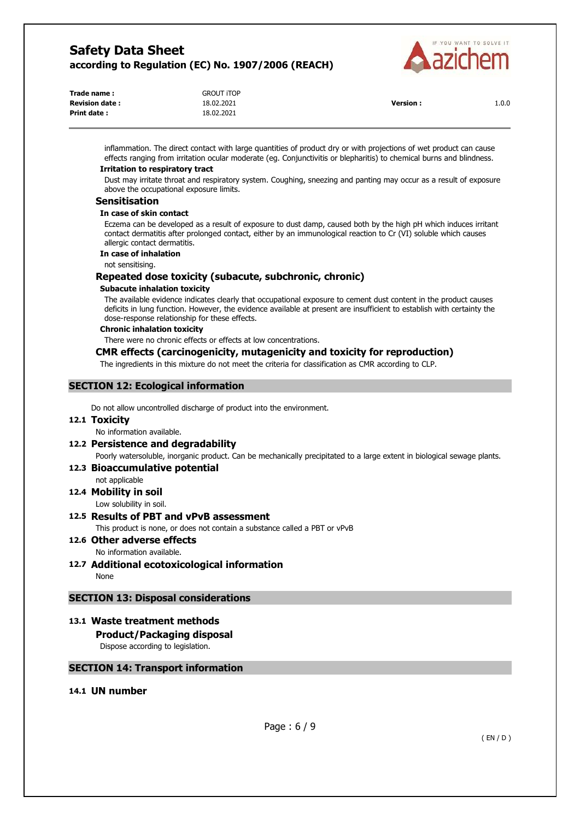

| Trade name:           | <b>GROUT ITOP</b> |                 |       |
|-----------------------|-------------------|-----------------|-------|
| <b>Revision date:</b> | 18.02.2021        | <b>Version:</b> | 1.0.0 |
| Print date :          | 18.02.2021        |                 |       |

inflammation. The direct contact with large quantities of product dry or with projections of wet product can cause effects ranging from irritation ocular moderate (eg. Conjunctivitis or blepharitis) to chemical burns and blindness.

## **Irritation to respiratory tract**

Dust may irritate throat and respiratory system. Coughing, sneezing and panting may occur as a result of exposure above the occupational exposure limits.

## **Sensitisation**

#### **In case of skin contact**

Eczema can be developed as a result of exposure to dust damp, caused both by the high pH which induces irritant contact dermatitis after prolonged contact, either by an immunological reaction to Cr (VI) soluble which causes allergic contact dermatitis.

## **In case of inhalation**

not sensitising.

## **Repeated dose toxicity (subacute, subchronic, chronic)**

#### **Subacute inhalation toxicity**

The available evidence indicates clearly that occupational exposure to cement dust content in the product causes deficits in lung function. However, the evidence available at present are insufficient to establish with certainty the dose-response relationship for these effects.

#### **Chronic inhalation toxicity**

There were no chronic effects or effects at low concentrations.

## **CMR effects (carcinogenicity, mutagenicity and toxicity for reproduction)**

The ingredients in this mixture do not meet the criteria for classification as CMR according to CLP.

## **SECTION 12: Ecological information**

Do not allow uncontrolled discharge of product into the environment.

## **12.1 Toxicity**

No information available.

## **12.2 Persistence and degradability**

Poorly watersoluble, inorganic product. Can be mechanically precipitated to a large extent in biological sewage plants.

## **12.3 Bioaccumulative potential**

not applicable

**12.4 Mobility in soil**  Low solubility in soil.

## **12.5 Results of PBT and vPvB assessment**

This product is none, or does not contain a substance called a PBT or vPvB

#### **12.6 Other adverse effects**  No information available.

**12.7 Additional ecotoxicological information**  None

## **SECTION 13: Disposal considerations**

## **13.1 Waste treatment methods**

**Product/Packaging disposal** 

Dispose according to legislation.

## **SECTION 14: Transport information**

## **14.1 UN number**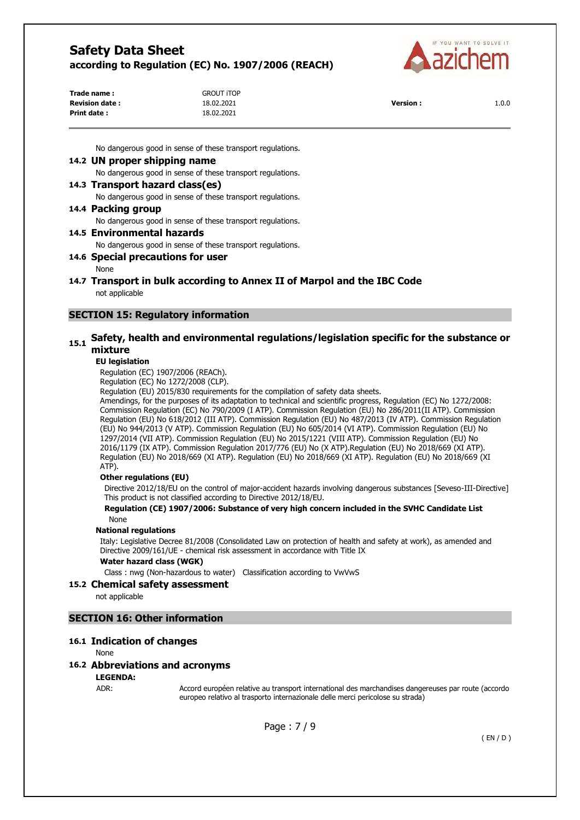

| Trade name:           | <b>GROUT ITOP</b> |                 |       |
|-----------------------|-------------------|-----------------|-------|
| <b>Revision date:</b> | 18.02.2021        | <b>Version:</b> | 1.0.0 |
| Print date:           | 18.02.2021        |                 |       |

No dangerous good in sense of these transport regulations.

#### **14.2 UN proper shipping name**

No dangerous good in sense of these transport regulations.

#### **14.3 Transport hazard class(es)**

No dangerous good in sense of these transport regulations.

#### **14.4 Packing group**

No dangerous good in sense of these transport regulations.

## **14.5 Environmental hazards**

No dangerous good in sense of these transport regulations.

#### **14.6 Special precautions for user**

#### None

**14.7 Transport in bulk according to Annex II of Marpol and the IBC Code**  not applicable

## **SECTION 15: Regulatory information**

## **15.1 Safety, health and environmental regulations/legislation specific for the substance or mixture**

#### **EU legislation**

Regulation (EC) 1907/2006 (REACh).

Regulation (EC) No 1272/2008 (CLP).

Regulation (EU) 2015/830 requirements for the compilation of safety data sheets.

Amendings, for the purposes of its adaptation to technical and scientific progress, Regulation (EC) No 1272/2008: Commission Regulation (EC) No 790/2009 (I ATP). Commission Regulation (EU) No 286/2011(II ATP). Commission Regulation (EU) No 618/2012 (III ATP). Commission Regulation (EU) No 487/2013 (IV ATP). Commission Regulation (EU) No 944/2013 (V ATP). Commission Regulation (EU) No 605/2014 (VI ATP). Commission Regulation (EU) No 1297/2014 (VII ATP). Commission Regulation (EU) No 2015/1221 (VIII ATP). Commission Regulation (EU) No 2016/1179 (IX ATP). Commission Regulation 2017/776 (EU) No (X ATP).Regulation (EU) No 2018/669 (XI ATP). Regulation (EU) No 2018/669 (XI ATP). Regulation (EU) No 2018/669 (XI ATP). Regulation (EU) No 2018/669 (XI ATP).

#### **Other regulations (EU)**

Directive 2012/18/EU on the control of major-accident hazards involving dangerous substances [Seveso-III-Directive] This product is not classified according to Directive 2012/18/EU.

#### **Regulation (CE) 1907/2006: Substance of very high concern included in the SVHC Candidate List**  None

#### **National regulations**

Italy: Legislative Decree 81/2008 (Consolidated Law on protection of health and safety at work), as amended and Directive 2009/161/UE - chemical risk assessment in accordance with Title IX

#### **Water hazard class (WGK)**

Class : nwg (Non-hazardous to water) Classification according to VwVwS

#### **15.2 Chemical safety assessment**

not applicable

## **SECTION 16: Other information**

#### **16.1 Indication of changes**

None

## **16.2 Abbreviations and acronyms**

## **LEGENDA:**

ADR: Accord européen relative au transport international des marchandises dangereuses par route (accordo europeo relativo al trasporto internazionale delle merci pericolose su strada)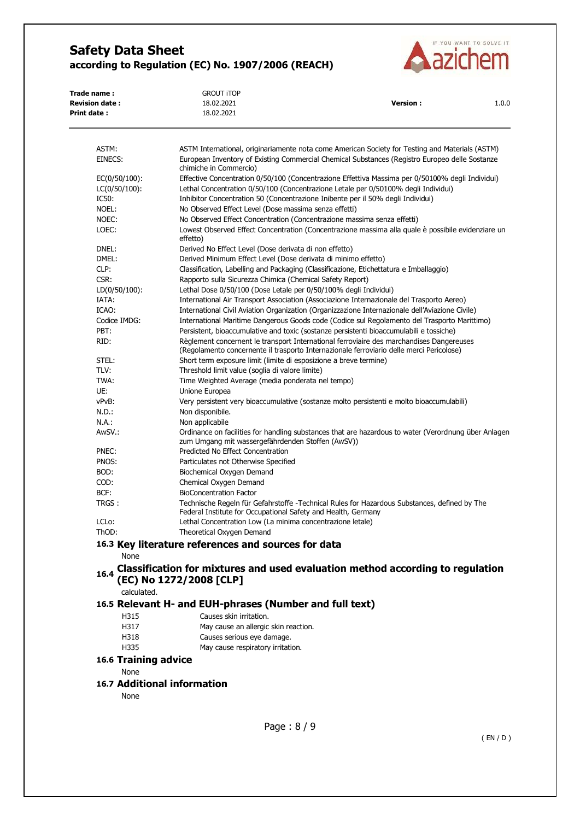

| Trade name :          | GROUT ITOP |                 |       |
|-----------------------|------------|-----------------|-------|
| <b>Revision date:</b> | 18.02.2021 | <b>Version:</b> | 1.0.0 |
| <b>Print date:</b>    | 18.02.2021 |                 |       |
|                       |            |                 |       |

| ASTM:                | ASTM International, originariamente nota come American Society for Testing and Materials (ASTM)                                                                                      |
|----------------------|--------------------------------------------------------------------------------------------------------------------------------------------------------------------------------------|
| EINECS:              | European Inventory of Existing Commercial Chemical Substances (Registro Europeo delle Sostanze<br>chimiche in Commercio)                                                             |
| EC(0/50/100):        | Effective Concentration 0/50/100 (Concentrazione Effettiva Massima per 0/50100% degli Individui)                                                                                     |
| $LC(0/50/100)$ :     | Lethal Concentration 0/50/100 (Concentrazione Letale per 0/50100% degli Individui)                                                                                                   |
| IC50:                | Inhibitor Concentration 50 (Concentrazione Inibente per il 50% degli Individui)                                                                                                      |
| NOEL:                | No Observed Effect Level (Dose massima senza effetti)                                                                                                                                |
| NOEC:                | No Observed Effect Concentration (Concentrazione massima senza effetti)                                                                                                              |
| LOEC:                | Lowest Observed Effect Concentration (Concentrazione massima alla quale è possibile evidenziare un<br>effetto)                                                                       |
| DNEL:                | Derived No Effect Level (Dose derivata di non effetto)                                                                                                                               |
| DMEL:                | Derived Minimum Effect Level (Dose derivata di minimo effetto)                                                                                                                       |
| CLP:                 | Classification, Labelling and Packaging (Classificazione, Etichettatura e Imballaggio)                                                                                               |
| CSR:                 | Rapporto sulla Sicurezza Chimica (Chemical Safety Report)                                                                                                                            |
| $LD(0/50/100)$ :     | Lethal Dose 0/50/100 (Dose Letale per 0/50/100% degli Individui)                                                                                                                     |
| IATA:                | International Air Transport Association (Associazione Internazionale del Trasporto Aereo)                                                                                            |
| ICAO:                | International Civil Aviation Organization (Organizzazione Internazionale dell'Aviazione Civile)                                                                                      |
| Codice IMDG:         | International Maritime Dangerous Goods code (Codice sul Regolamento del Trasporto Marittimo)                                                                                         |
| PBT:                 | Persistent, bioaccumulative and toxic (sostanze persistenti bioaccumulabili e tossiche)                                                                                              |
| RID:                 | Règlement concernent le transport International ferroviaire des marchandises Dangereuses<br>(Regolamento concernente il trasporto Internazionale ferroviario delle merci Pericolose) |
| STEL:                | Short term exposure limit (limite di esposizione a breve termine)                                                                                                                    |
| TLV:                 | Threshold limit value (soglia di valore limite)                                                                                                                                      |
| TWA:                 | Time Weighted Average (media ponderata nel tempo)                                                                                                                                    |
| UE:                  | Unione Europea                                                                                                                                                                       |
| vPvB:                | Very persistent very bioaccumulative (sostanze molto persistenti e molto bioaccumulabili)                                                                                            |
| N.D.:                | Non disponibile.                                                                                                                                                                     |
| N.A.:                | Non applicabile                                                                                                                                                                      |
| AwSV.:               | Ordinance on facilities for handling substances that are hazardous to water (Verordnung über Anlagen<br>zum Umgang mit wassergefährdenden Stoffen (AwSV))                            |
| PNEC:                | Predicted No Effect Concentration                                                                                                                                                    |
| PNOS:                | Particulates not Otherwise Specified                                                                                                                                                 |
| BOD:                 | Biochemical Oxygen Demand                                                                                                                                                            |
| COD:                 | Chemical Oxygen Demand                                                                                                                                                               |
| BCF:                 | <b>BioConcentration Factor</b>                                                                                                                                                       |
| TRGS :               | Technische Regeln für Gefahrstoffe -Technical Rules for Hazardous Substances, defined by The<br>Federal Institute for Occupational Safety and Health, Germany                        |
| LCL <sub>o</sub> :   | Lethal Concentration Low (La minima concentrazione letale)                                                                                                                           |
| ThOD:                | Theoretical Oxygen Demand                                                                                                                                                            |
|                      | 16.3 Key literature references and sources for data                                                                                                                                  |
| <b>None</b>          |                                                                                                                                                                                      |
| 16.4                 | Classification for mixtures and used evaluation method according to regulation<br>(EC) No 1272/2008 [CLP]                                                                            |
| calculated.          |                                                                                                                                                                                      |
|                      | 16.5 Relevant H- and EUH-phrases (Number and full text)                                                                                                                              |
| H315                 | Causes skin irritation.                                                                                                                                                              |
| H317                 | May cause an allergic skin reaction.                                                                                                                                                 |
| H318                 | Causes serious eye damage.                                                                                                                                                           |
| H335                 | May cause respiratory irritation.                                                                                                                                                    |
| 16.6 Training advice |                                                                                                                                                                                      |
|                      |                                                                                                                                                                                      |
| None                 |                                                                                                                                                                                      |

## **16.7 Additional information**

None